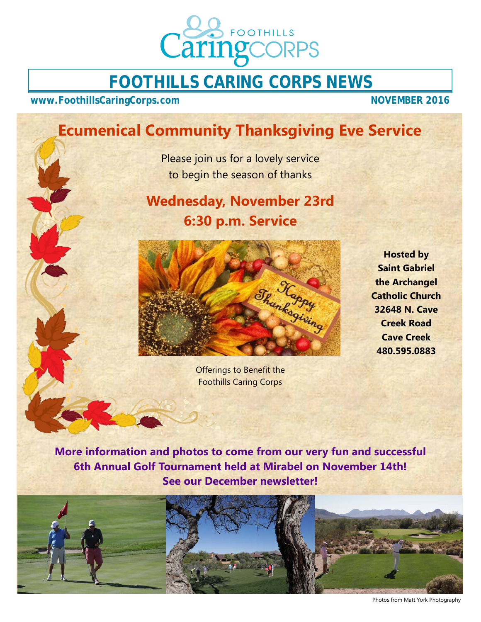

# **FOOTHILLS CARING CORPS NEWS**

www.FoothillsCaringCorps.com NOVEMBER 2016

# **Ecumenical Community Thanksgiving Eve Service**

Please join us for a lovely service to begin the season of thanks

# **Wednesday, November 23rd 6:30 p.m. Service**



Offerings to Benefit the Foothills Caring Corps

**Hosted by Saint Gabriel the Archangel Catholic Church 32648 N. Cave Creek Road Cave Creek 480.595.0883** 

**More information and photos to come from our very fun and successful 6th Annual Golf Tournament held at Mirabel on November 14th! See our December newsletter!** 



Photos from Matt York Photography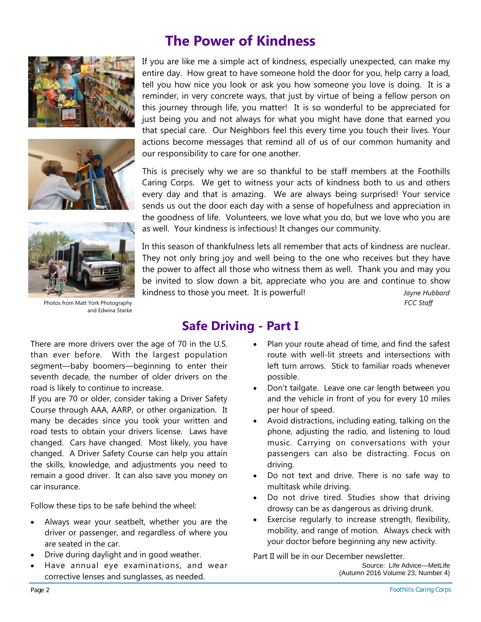





Photos from Matt York Photography and Edwina Starke

## **The Power of Kindness**

If you are like me a simple act of kindness, especially unexpected, can make my entire day. How great to have someone hold the door for you, help carry a load, tell you how nice you look or ask you how someone you love is doing. It is a reminder, in very concrete ways, that just by virtue of being a fellow person on this journey through life, you matter! It is so wonderful to be appreciated for just being you and not always for what you might have done that earned you that special care. Our Neighbors feel this every time you touch their lives. Your actions become messages that remind all of us of our common humanity and our responsibility to care for one another.

This is precisely why we are so thankful to be staff members at the Foothills Caring Corps. We get to witness your acts of kindness both to us and others every day and that is amazing. We are always being surprised! Your service sends us out the door each day with a sense of hopefulness and appreciation in the goodness of life. Volunteers, we love what you do, but we love who you are as well. Your kindness is infectious! It changes our community.

In this season of thankfulness lets all remember that acts of kindness are nuclear. They not only bring joy and well being to the one who receives but they have the power to affect all those who witness them as well. Thank you and may you be invited to slow down a bit, appreciate who you are and continue to show kindness to those you meet. It is powerful! *Jayne Hubbard FCC Staff*

## **Safe Driving - Part I**

There are more drivers over the age of 70 in the U.S. than ever before. With the largest population segment—baby boomers—beginning to enter their seventh decade, the number of older drivers on the road is likely to continue to increase.

If you are 70 or older, consider taking a Driver Safety Course through AAA, AARP, or other organization. It many be decades since you took your written and road tests to obtain your drivers license. Laws have changed. Cars have changed. Most likely, you have changed. A Driver Safety Course can help you attain the skills, knowledge, and adjustments you need to remain a good driver. It can also save you money on car insurance.

Follow these tips to be safe behind the wheel:

- Always wear your seatbelt, whether you are the driver or passenger, and regardless of where you are seated in the car.
- Drive during daylight and in good weather.
- Have annual eye examinations, and wear corrective lenses and sunglasses, as needed.
- Plan your route ahead of time, and find the safest route with well-lit streets and intersections with left turn arrows. Stick to familiar roads whenever possible.
- Don't tailgate. Leave one car length between you and the vehicle in front of you for every 10 miles per hour of speed.
- Avoid distractions, including eating, talking on the phone, adjusting the radio, and listening to loud music. Carrying on conversations with your passengers can also be distracting. Focus on driving.
- Do not text and drive. There is no safe way to multitask while driving.
- Do not drive tired. Studies show that driving drowsy can be as dangerous as driving drunk.
- Exercise regularly to increase strength, flexibility, mobility, and range of motion. Always check with your doctor before beginning any new activity.

Part II will be in our December newsletter. Source: Life Advice—MetLife (Autumn 2016 Volume 23, Number 4)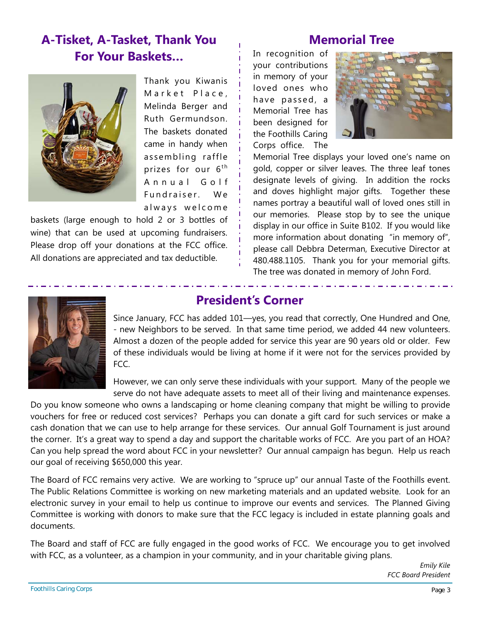## **A-Tisket, A-Tasket, Thank You For Your Baskets…**



Thank you Kiwanis Market Place, Melinda Berger and Ruth Germundson. The baskets donated came in handy when assembling raffle prizes for our  $6<sup>th</sup>$ Annual Golf Fundraiser. We always welcome

baskets (large enough to hold 2 or 3 bottles of wine) that can be used at upcoming fundraisers. Please drop off your donations at the FCC office. All donations are appreciated and tax deductible.

### **Memorial Tree**

In recognition of your contributions in memory of your loved ones who have passed, a Memorial Tree has been designed for the Foothills Caring Corps office. The



Memorial Tree displays your loved one's name on gold, copper or silver leaves. The three leaf tones designate levels of giving. In addition the rocks and doves highlight major gifts. Together these names portray a beautiful wall of loved ones still in our memories. Please stop by to see the unique display in our office in Suite B102. If you would like more information about donating "in memory of", please call Debbra Determan, Executive Director at 480.488.1105. Thank you for your memorial gifts. The tree was donated in memory of John Ford.



#### **President's Corner**

Since January, FCC has added 101—yes, you read that correctly, One Hundred and One, - new Neighbors to be served. In that same time period, we added 44 new volunteers. Almost a dozen of the people added for service this year are 90 years old or older. Few of these individuals would be living at home if it were not for the services provided by FCC.

However, we can only serve these individuals with your support. Many of the people we serve do not have adequate assets to meet all of their living and maintenance expenses.

Do you know someone who owns a landscaping or home cleaning company that might be willing to provide vouchers for free or reduced cost services? Perhaps you can donate a gift card for such services or make a cash donation that we can use to help arrange for these services. Our annual Golf Tournament is just around the corner. It's a great way to spend a day and support the charitable works of FCC. Are you part of an HOA? Can you help spread the word about FCC in your newsletter? Our annual campaign has begun. Help us reach our goal of receiving \$650,000 this year.

The Board of FCC remains very active. We are working to "spruce up" our annual Taste of the Foothills event. The Public Relations Committee is working on new marketing materials and an updated website. Look for an electronic survey in your email to help us continue to improve our events and services. The Planned Giving Committee is working with donors to make sure that the FCC legacy is included in estate planning goals and documents.

The Board and staff of FCC are fully engaged in the good works of FCC. We encourage you to get involved with FCC, as a volunteer, as a champion in your community, and in your charitable giving plans.

> *Emily Kile FCC Board President*